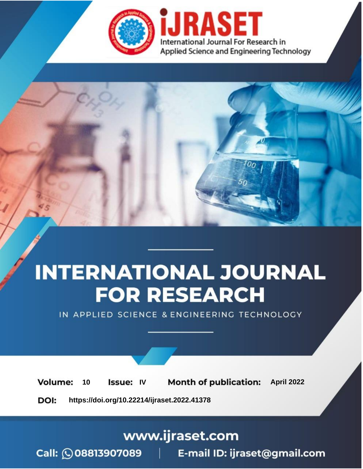

# **INTERNATIONAL JOURNAL FOR RESEARCH**

IN APPLIED SCIENCE & ENGINEERING TECHNOLOGY

10 **Issue: IV Month of publication:** April 2022 **Volume:** 

**https://doi.org/10.22214/ijraset.2022.41378**DOI:

www.ijraset.com

Call: 008813907089 | E-mail ID: ijraset@gmail.com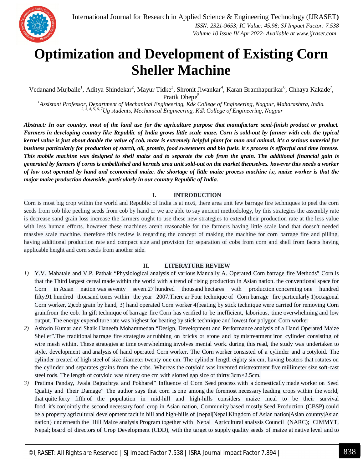

### **Optimization and Development of Existing Corn Sheller Machine**

Vedanand Mujbaile<sup>1</sup>, Aditya Shindekar<sup>2</sup>, Mayur Tidke<sup>3</sup>, Shronit Jiwankar<sup>4</sup>, Karan Bramhapurikar<sup>6</sup>, Chhaya Kakade<sup>7</sup>, Pratik Dhepe<sup>5</sup>

*<sup>1</sup>Assistant Professor, Department of Mechanical Engineering, Kdk College of Engineering, Nagpur, Maharashtra, India. 2, 3, 4, 5, 6, 7Ug students, Mechanical Engineering, Kdk College of Engineering, Nagpur*

*Abstract: In our country, most of the land use for the agriculture purpose that manufacture semi-finish product or product. Farmers in developing country like Republic of India grows little scale maze. Corn is sold-out by farmer with cob. the typical kernel value is just about double the value of cob. maze is extremely helpful plant for man and animal. it's a serious material for business particularly for production of starch, oil, protein, food sweeteners and bio fuels. it's process is effortful and time intense. This mobile machine was designed to shell maize and to separate the cob from the grain. The additional financial gain is generated by farmers if corns is embellished and kernels area unit sold-out on the market themselves. however this needs a worker of low cost operated by hand and economical maize. the shortage of little maize process machine i.e, maize worker is that the major maize production downside, particularly in our country Republic of India.*

#### **I. INTRODUCTION**

Corn is most big crop within the world and Republic of India is at no.6, there area unit few barrage fire techniques to peel the corn seeds from cob like peeling seeds from cob by hand or we are able to say ancient methodology, by this strategies the assembly rate is decrease sand grain loss increase the farmers ought to use these new strategies to extend their production rate at the less value with less human efforts. however these machines aren't reasonable for the farmers having little scale land that doesn't needed massive scale machine. therefore this review is regarding the concept of making the machine for corn barrage fire and pilling, having additional production rate and compact size and provision for separation of cobs from corn and shell from facets having applicable height and corn seeds from another side.

#### **II. LITERATURE REVIEW**

- *1)* Y.V. Mahatale and V.P. Pathak "Physiological analysis of various Manually A. Operated Corn barrage fire Methods" Corn is that the Third largest cereal made within the world with a trend of rising production in Asian nation. the conventional space for Corn in Asian nation was seventy seven.27 hundred thousand hectares with production concerning one hundred fifty.91 hundred thousand tones within the year 2007.There ar Four technique of Corn barrage fire particularly 1)octagonal Corn worker, 2)cob grain by hand, 3) hand operated Corn worker 4)beating by stick technique were carried for removing Corn grainfrom the cob. In gift technique of barrage fire Corn has verified to be inefficient, laborious, time overwhelming and low output. The energy expenditure rate was highest for beating by stick technique and lowest for polygon Corn worker
- *2)* Ashwin Kumar and Shaik Haneefa Mohammedan "Design, Development and Performance analysis of a Hand Operated Maize Sheller".The traditional barrage fire strategies ar rubbing on bricks or stone and by mistreatment iron cylinder consisting of wire mesh within. These strategies ar time overwhelming involves menial work. during this read, the study was undertaken to style, development and analysis of hand operated Corn worker. The Corn worker consisted of a cylinder and a cotyloid. The cylinder created of high steel of size diameter twenty one cm. The cylinder length eighty six cm, having beaters that rotates on the cylinder and separates grains from the cobs. Whereas the cotyloid was invented mistreatment five millimeter size soft-cast steel rods. The length of cotyloid was ninety one cm with slotted gap size of thirty.3cm×2.5cm.
- *3)* Pratima Panday, Jwala Bajrachrya and Pokharel" Influence of Corn Seed process with a domestically made worker on Seed Quality and Their Damage" The author says that corn is one among the foremost necessary leading crops within the world, that quite forty fifth of the population in mid-hill and high-hills considers maize meal to be their survival food. it's conjointly the second necessary food crop in Asian nation, Community based mostly Seed Production (CBSP) could be a property agricultural development tacit in hill and high-hills of {nepal|Nepal|Kingdom of Asian nation|Asian country|Asian nation} underneath the Hill Maize analysis Program together with Nepal Agricultural analysis Council (NARC); CIMMYT, Nepal; board of directors of Crop Development (CDD), with the target to supply quality seeds of maize at native level and to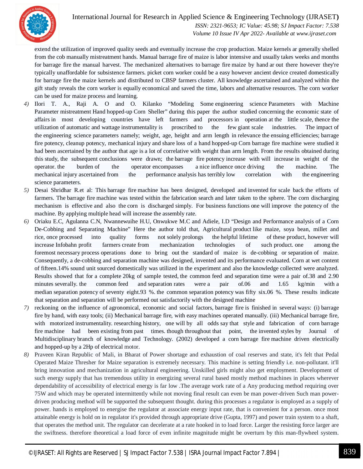

International Journal for Research in Applied Science & Engineering Technology (IJRASET**)**  *ISSN: 2321-9653; IC Value: 45.98; SJ Impact Factor: 7.538 Volume 10 Issue IV Apr 2022- Available at www.ijraset.com*

extend the utilization of improved quality seeds and eventually increase the crop production. Maize kernels ar generally shelled from the cob manually mistreatment hands. Manual barrage fire of maize is labor intensive and usually takes weeks and months for barrage fire the manual harvest. The mechanized alternatives to barrage fire maize by hand ar out there however they're typically unaffordable for subsistence farmers. picket corn worker could be a easy however ancient device created domestically for barrage fire the maize kernels and distributed to CBSP farmers cluster. All knowledge ascertained and analyzed within the gift study reveals the corn worker is equally economical and saved the time, labors and alternative resources. The corn worker can be used for maize process and learning.

- *4)* Ilori T. A., Raji A. O and O. Kilanko "Modeling Some engineering science Parameters with Machine Parameter mistreatment Hand hopped-up Corn Sheller" during this paper the author studied concerning the economic state of affairs in most developing countries have left farmers and processors in operation at the little scale, thence the utilization of automatic and wattage instrumentality is proscribed to the few giant scale industries. The impact of the engineering science parameters namely; weight, age, height and arm length in relevance the ensuing efficiencies; barrage fire potency, cleanup potency, mechanical injury and share loss of a hand hopped-up Corn barrage fire machine were studied it had been ascertained by the author that age is a lot of correlative with weight than arm length. From the results obtained during this study, the subsequent conclusions were drawn; the barrage fire potency increase with will increase in weight of the operator. the burden of the operator encompasses a nice influence once driving the machine. The mechanical injury ascertained from the performance analysis has terribly low correlation with the engineering science parameters.
- *5)* Desai Shridhar R.et al: This barrage fire machine has been designed, developed and invented for scale back the efforts of farmers. The barrage fire machine was tested within the fabrication search and later taken to the sphere. The corn discharging mechanism is effective and also the corn is discharged simply. For business functions one will improve the potency of the machine. By applying multiple head will increase the assembly rate.
- *6)* Oriaku E.C, Agulanna C.N, Nwannewuihe H.U, Onwukwe M.C and Adiele, I.D "Design and Performance analysis of a Corn De-Cobbing and Separating Machine" Here the author told that, Agricultural product like maize, soya bean, millet and rice, once processed into quality forms not solely prolongs the helpful lifetime of these product, however will increase Infobahn profit farmers create from mechanization technologies of such product. one among the foremost necessary process operations done to bring out the standard of maize is de-cobbing or separation of maize. Consequently, a de-cobbing and separation machine was designed, invented and its performance evaluated. Corn at wet content of fifteen.14% sound unit sourced domestically was utilized in the experiment and also the knowledge collected were analyzed. Results showed that for a complete 20kg of sample tested, the common feed and separation time were a pair of.38 and 2.90 minutes severally. the common feed and separation rates were a pair of.06 and 1.65 kg/min with a median separation potency of seventy eight.93 %. the common separation potency was fifty six.06 %. These results indicate that separation and separation will be performed out satisfactorily with the designed machine
- *7)* reckoning on the influence of agronomical, economic and social factors, barrage fire is finished in several ways: (i) barrage fire by hand, with easy tools; (ii) Mechanical barrage fire, with easy machines operated manually. (iii) Mechanical barrage fire, with motorized instrumentality. researching history, one will by all odds say that style and fabrication of corn barrage fire machine had been existing from past times. though throughout that point, the invented styles by Journal of Multidisciplinary branch of knowledge and Technology. (2002) developed a corn barrage fire machine driven electrically and hopped-up by a 2Hp of electrical motor.
- *8)* Praveen Kiran Republic of Mali, in Bharat of Power shortage and exhaustion of coal reserves and state, it's felt that Pedal Operated Maize Thresher for Maize separation is extremely necessary. This machine is setting friendly i.e. non-pollutant. it'll bring innovation and mechanization in agricultural engineering. Unskilled girls might also get employment. Development of such energy supply that has tremendous utility in energizing several rural based mostly method machines in places wherever dependability of accessibility of electrical energy is far low .The average work rate of a Any producing method requiring over 75W and which may be operated intermittently while not moving final result can even be man power-driven Such man powerdriven producing method will be supported the subsequent thought. during this processes a regulator is employed as a supply of power. hands is employed to energise the regulator at associate energy input rate, that is convenient for a person. once most attainable energy is hold on in regulator it's provided through appropriate drive (Gupta, 1997) and power train system to a shaft, that operates the method unit. The regulator can decelerate at a rate hooked in to load force. Larger the resisting force larger are the swiftness. therefore theoretical a load force of even infinite magnitude might be overturn by this man-flywheel system.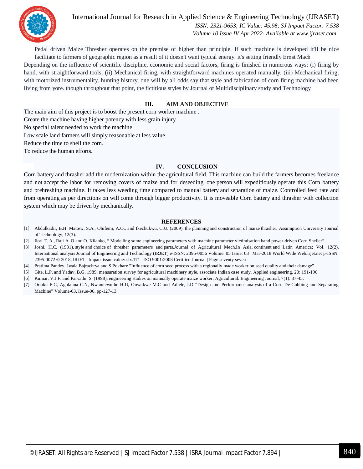

International Journal for Research in Applied Science & Engineering Technology (IJRASET**)**  *ISSN: 2321-9653; IC Value: 45.98; SJ Impact Factor: 7.538 Volume 10 Issue IV Apr 2022- Available at www.ijraset.com*

Pedal driven Maize Thresher operates on the premise of higher than principle. If such machine is developed it'll be nice facilitate to farmers of geographic region as a result of it doesn't want typical energy. it's setting friendly Ernst Mach

Depending on the influence of scientific discipline, economic and social factors, firing is finished in numerous ways: (i) firing by hand, with straightforward tools; (ii) Mechanical firing, with straightforward machines operated manually. (iii) Mechanical firing, with motorized instrumentality. hunting history, one will by all odds say that style and fabrication of corn firing machine had been living from yore. though throughout that point, the fictitious styles by Journal of Multidisciplinary study and Technology

#### **III. AIM AND OBJECTIVE**

The main aim of this project is to boost the present corn worker machine . Create the machine having higher potency with less grain injury No special talent needed to work the machine Low scale land farmers will simply reasonable at less value Reduce the time to shell the corn. To reduce the human efforts.

#### **IV. CONCLUSION**

Corn battery and thrasher add the modernization within the agricultural field. This machine can build the farmers becomes freelance and not accept the labor for removing covers of maize and for deseeding. one person will expeditiously operate this Corn battery and prehreshing machine. It takes less weeding time compared to manual battery and separation of maize. Controlled feed rate and from operating as per directions on will come through bigger productivity. It is moveable Corn battery and thrasher with collection system which may be driven by mechanically.

#### **REFERENCES**

- [1] Abdulkadir, B.H. Mattew, S.A., Olufemi, A.O., and Ikechukwu, C.U. (2009). the planning and construction of maize thrasher. Assumption University Journal of Technology, 12(3).
- [2] Ilori T. A., Raji A. O and O. Kilanko, " Modelling some engineering parameters with machine parameter victimisation hand power-driven Corn Sheller".
- [3] Joshi, H.C. (1981). style and choice of thresher parameters and parts.Journal of Agricultural Mech.In Asia, continent and Latin America; Vol. 12(2). International analysis Journal of Engineering and Technology (IRJET) e-ISSN: 2395-0056 Volume: 05 Issue: 03 | Mar-2018 World Wide Web.irjet.net p-ISSN: 2395-0072 © 2018, IRJET | Impact issue value: six.171 | ISO 9001:2008 Certified Journal | Page seventy seven
- [4] Pratima Pandey, Jwala Bajrachrya and S Pokhare "Influence of corn seed process with a regionally made worker on seed quality and their damage"
- [5] Gite, L.P. and Yadav, B.G. 1989. mensuration survey for agricultural machinery style, associate Indian case study. Applied engineering. 20: 191-196
- [6] Kumar, V.J.F. and Parvathi, S. (1998). engineering studies on manually operate maize worker, Agricultural. Engineering Journal, 7(1): 37-45.
- [7] Oriaku E.C, Agulanna C.N, Nwannewuihe H.U, Onwukwe M.C and Adiele, I.D "Design and Performance analysis of a Corn De-Cobbing and Separating Machine" Volume-03, Issue-06, pp-127-13